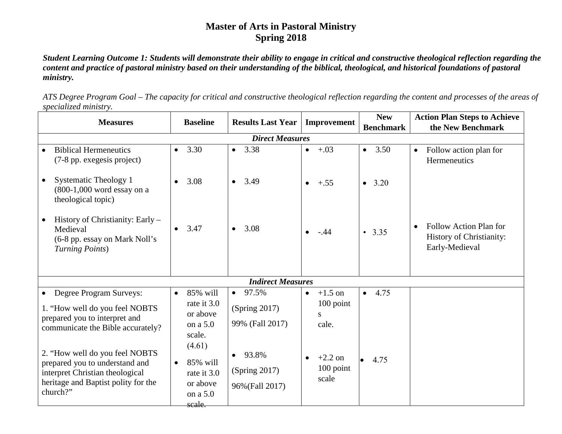## **Master of Arts in Pastoral Ministry Spring 2018**

*Student Learning Outcome 1: Students will demonstrate their ability to engage in critical and constructive theological reflection regarding the content and practice of pastoral ministry based on their understanding of the biblical, theological, and historical foundations of pastoral ministry.* 

*ATS Degree Program Goal – The capacity for critical and constructive theological reflection regarding the content and processes of the areas of specialized ministry.* 

| <b>Measures</b>                                                                                                                                        | <b>Baseline</b>                                                     | <b>Results Last Year</b>                  | Improvement                                    | <b>New</b>        | <b>Action Plan Steps to Achieve</b>                                  |  |  |
|--------------------------------------------------------------------------------------------------------------------------------------------------------|---------------------------------------------------------------------|-------------------------------------------|------------------------------------------------|-------------------|----------------------------------------------------------------------|--|--|
|                                                                                                                                                        |                                                                     |                                           |                                                | <b>Benchmark</b>  | the New Benchmark                                                    |  |  |
| <b>Direct Measures</b>                                                                                                                                 |                                                                     |                                           |                                                |                   |                                                                      |  |  |
| <b>Biblical Hermeneutics</b><br>(7-8 pp. exegesis project)                                                                                             | 3.30<br>$\bullet$                                                   | 3.38<br>$\bullet$                         | $+.03$<br>$\bullet$                            | 3.50<br>$\bullet$ | Follow action plan for<br>$\bullet$<br>Hermeneutics                  |  |  |
| Systematic Theology 1<br>(800-1,000 word essay on a<br>theological topic)                                                                              | 3.08<br>$\bullet$                                                   | 3.49<br>$\bullet$                         | $+.55$<br>$\bullet$                            | • $3.20$          |                                                                      |  |  |
| History of Christianity: Early –<br>Medieval<br>(6-8 pp. essay on Mark Noll's<br>Turning Points)                                                       | 3.47                                                                | 3.08<br>$\bullet$                         | $\bullet$ -.44                                 | $\cdot$ 3.35      | Follow Action Plan for<br>History of Christianity:<br>Early-Medieval |  |  |
| <b>Indirect Measures</b>                                                                                                                               |                                                                     |                                           |                                                |                   |                                                                      |  |  |
| Degree Program Surveys:<br>$\bullet$                                                                                                                   | 85% will<br>$\bullet$                                               | $\bullet$ 97.5%                           | $+1.5$ on<br>$\bullet$                         | $-4.75$           |                                                                      |  |  |
| 1. "How well do you feel NOBTS<br>prepared you to interpret and<br>communicate the Bible accurately?                                                   | rate it 3.0<br>or above<br>on a 5.0<br>scale.                       | (Spring 2017)<br>99% (Fall 2017)          | $100$ point<br>S<br>cale.                      |                   |                                                                      |  |  |
| 2. "How well do you feel NOBTS<br>prepared you to understand and<br>interpret Christian theological<br>heritage and Baptist polity for the<br>church?" | (4.61)<br>85% will<br>rate it 3.0<br>or above<br>on a 5.0<br>scale. | 93.8%<br>(Spring 2017)<br>96% (Fall 2017) | $+2.2$ on<br>$\bullet$<br>$100$ point<br>scale | $\bullet$ 4.75    |                                                                      |  |  |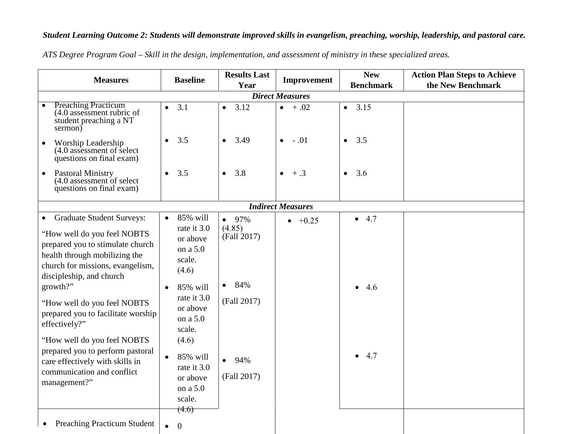## *Student Learning Outcome 2: Students will demonstrate improved skills in evangelism, preaching, worship, leadership, and pastoral care.*

| <b>Measures</b>                                                                                                                                                                                                                                                                                                                                                                                                                                       | <b>Baseline</b>                                                                                                                                                                                                    | <b>Results Last</b><br>Year                                                                             | Improvement              | <b>New</b><br><b>Benchmark</b> | <b>Action Plan Steps to Achieve</b><br>the New Benchmark |  |  |
|-------------------------------------------------------------------------------------------------------------------------------------------------------------------------------------------------------------------------------------------------------------------------------------------------------------------------------------------------------------------------------------------------------------------------------------------------------|--------------------------------------------------------------------------------------------------------------------------------------------------------------------------------------------------------------------|---------------------------------------------------------------------------------------------------------|--------------------------|--------------------------------|----------------------------------------------------------|--|--|
| <b>Direct Measures</b>                                                                                                                                                                                                                                                                                                                                                                                                                                |                                                                                                                                                                                                                    |                                                                                                         |                          |                                |                                                          |  |  |
| Preaching Practicum<br>(4.0 assessment rubric of<br>student preaching a NT<br>sermon)                                                                                                                                                                                                                                                                                                                                                                 | 3.1<br>$\bullet$                                                                                                                                                                                                   | 3.12<br>$\bullet$                                                                                       | $+ .02$<br>$\bullet$     | 3.15<br>$\bullet$              |                                                          |  |  |
| Worship Leadership<br>$\bullet$<br>(4.0 assessment of select<br>questions on final exam)                                                                                                                                                                                                                                                                                                                                                              | 3.5<br>$\bullet$                                                                                                                                                                                                   | 3.49<br>$\bullet$                                                                                       | $-.01$<br>$\bullet$      | 3.5<br>$\bullet$               |                                                          |  |  |
| Pastoral Ministry<br>$\bullet$<br>(4.0 assessment of select<br>questions on final exam)                                                                                                                                                                                                                                                                                                                                                               | $\bullet$<br>3.5                                                                                                                                                                                                   | 3.8<br>$\bullet$                                                                                        | $+ .3$<br>$\bullet$      | 3.6<br>$\bullet$               |                                                          |  |  |
|                                                                                                                                                                                                                                                                                                                                                                                                                                                       |                                                                                                                                                                                                                    |                                                                                                         | <b>Indirect Measures</b> |                                |                                                          |  |  |
| • Graduate Student Surveys:<br>"How well do you feel NOBTS<br>prepared you to stimulate church<br>health through mobilizing the<br>church for missions, evangelism,<br>discipleship, and church<br>growth?"<br>"How well do you feel NOBTS<br>prepared you to facilitate worship<br>effectively?"<br>"How well do you feel NOBTS<br>prepared you to perform pastoral<br>care effectively with skills in<br>communication and conflict<br>management?" | 85% will<br>$\bullet$<br>rate it 3.0<br>or above<br>on a 5.0<br>scale.<br>(4.6)<br>85% will<br>rate it 3.0<br>or above<br>on a 5.0<br>scale.<br>(4.6)<br>85% will<br>rate it 3.0<br>or above<br>on a 5.0<br>scale. | $• 97\%$<br>(4.85)<br>(Fall 2017)<br>84%<br>$\bullet$<br>(Fall 2017)<br>94%<br>$\bullet$<br>(Fall 2017) | $-+0.25$                 | • 4.7<br>4.6<br>4.7            |                                                          |  |  |
| <b>Preaching Practicum Student</b>                                                                                                                                                                                                                                                                                                                                                                                                                    | (4.6)<br>$\mathbf{0}$                                                                                                                                                                                              |                                                                                                         |                          |                                |                                                          |  |  |

*ATS Degree Program Goal – Skill in the design, implementation, and assessment of ministry in these specialized areas.*